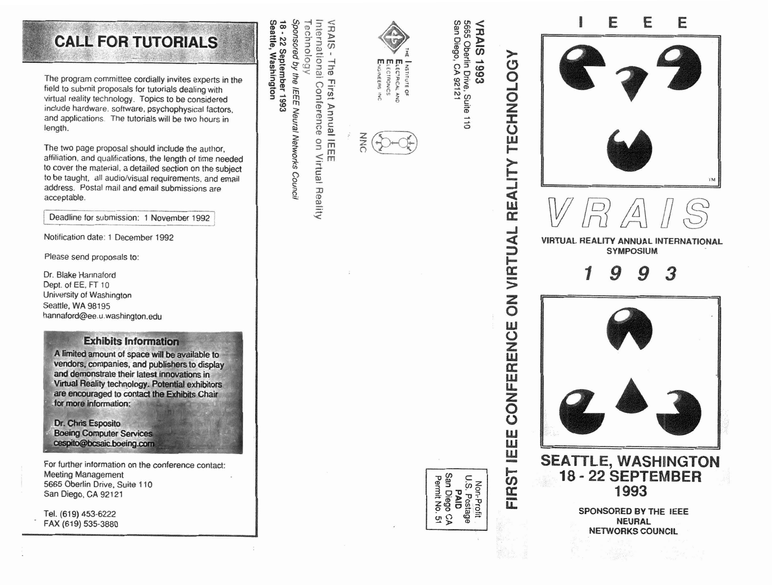## **CALL FOR TUTORIALS**

The program committee cordially invites experts in the field to submit proposals for tutorials dealing with virtual reality technology. Topics to be considered include hardware. software, psychophysical factors, and applications. The tutorials will be two hours in length.

The two page proposal should include the author. affiliation, and qualifications, the length of time needed to cover the material, a detailed section on the subject to be taught, all audio/visual requirements, and email address. Postal mail and email submissions are acceptable.

Deadline for submission: 1 November 1992

Notification date: 1 December 1992

Please send proposals to:

Dr. Blake Hannaford Dept. of EE, FT 10 University of Washington Seattle. WA 98195 hannaford@ee.u.washington.edu

#### **Exhibits Information**

A limited amount of space will be available to vendors, companies, and publishers to display and demonstrate their latest innovations in **Virtual Reality technology. Potential exhibitors<br>are encouraged to contact the Exhibits Chair** ; **.for more** 

Dr. Chris Esposito **Boeing Computer Services** cespito@bcsaic.boeing.com

For further information on the conference contact: Meeting Management **5665** Oberlin Drive, Suite 110 San Diego, CA 92121

Tel. (619) 453-6222 FAX (619) 535-3880

Sponsored by the IEEE Neural Networks Counci Technology 18 - 22 September 1993<br>Seattle, Washington

Seattle,

VRAIS - The First Annual IEEE<br>International Conference on Vi on Virtual Reality



I NSTITUTE OF ECTRONIC:



# REALITY VIRTUAL  $\overline{5}$ CONFERENCE **FIRST IEEE**



San Diego, CA 92121

5665 Oberlin Drive, Suite 110 **VRAIS1993**